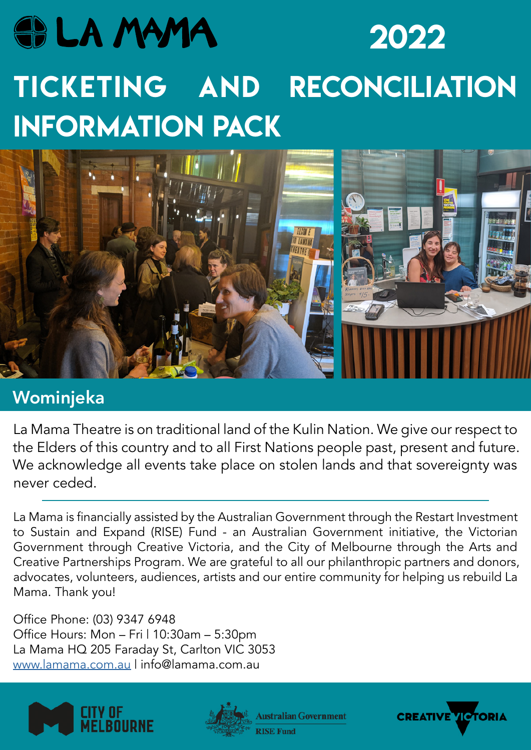# **SOLA MAMA** 2022 TICKETING AND RECONCILIATION INFORMATION PACK



## Wominjeka

La Mama Theatre is on traditional land of the Kulin Nation. We give our respect to the Elders of this country and to all First Nations people past, present and future. We acknowledge all events take place on stolen lands and that sovereignty was never ceded.

La Mama is financially assisted by the Australian Government through the Restart Investment to Sustain and Expand (RISE) Fund - an Australian Government initiative, the Victorian Government through Creative Victoria, and the City of Melbourne through the Arts and Creative Partnerships Program. We are grateful to all our philanthropic partners and donors, advocates, volunteers, audiences, artists and our entire community for helping us rebuild La Mama. Thank you!

Office Phone: (03) 9347 6948 Office Hours: Mon – Fri | 10:30am – 5:30pm La Mama HQ 205 Faraday St, Carlton VIC 3053 www.lamama.com.au | info@lamama.com.au





**Australian Government** 

**RISE Fund** 

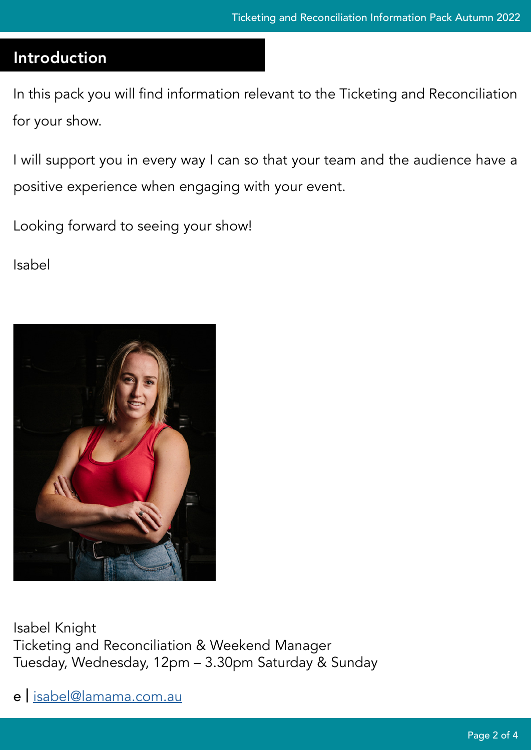## Introduction

In this pack you will find information relevant to the Ticketing and Reconciliation for your show.

I will support you in every way I can so that your team and the audience have a positive experience when engaging with your event.

Looking forward to seeing your show!

Isabel



Isabel Knight Ticketing and Reconciliation & Weekend Manager Tuesday, Wednesday, 12pm – 3.30pm Saturday & Sunday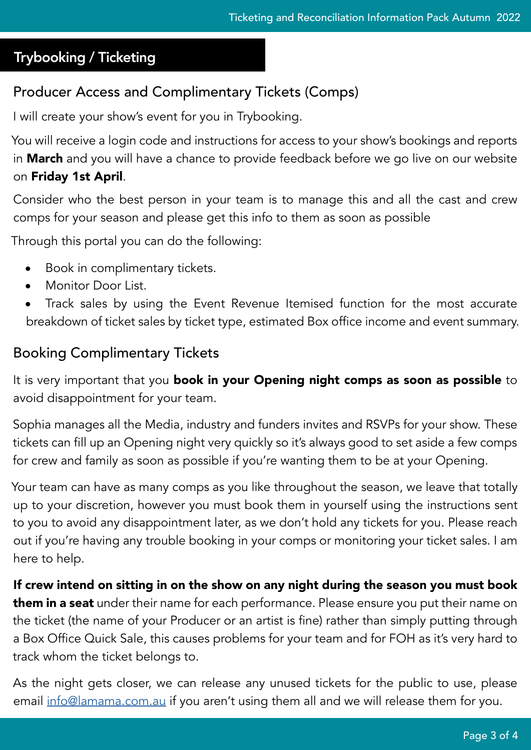### Trybooking / Ticketing

## Producer Access and Complimentary Tickets (Comps)

I will create your show's event for you in Trybooking.

You will receive a login code and instructions for access to your show's bookings and reports in **March** and you will have a chance to provide feedback before we go live on our website on Friday 1st April.

Consider who the best person in your team is to manage this and all the cast and crew comps for your season and please get this info to them as soon as possible

Through this portal you can do the following:

- **•** Book in complimentary tickets.
- **•** Monitor Door List.
- **•** Track sales by using the Event Revenue Itemised function for the most accurate breakdown of ticket sales by ticket type, estimated Box office income and event summary.

#### Booking Complimentary Tickets

It is very important that you book in your Opening night comps as soon as possible to avoid disappointment for your team.

Sophia manages all the Media, industry and funders invites and RSVPs for your show. These tickets can fill up an Opening night very quickly so it's always good to set aside a few comps for crew and family as soon as possible if you're wanting them to be at your Opening.

Your team can have as many comps as you like throughout the season, we leave that totally up to your discretion, however you must book them in yourself using the instructions sent to you to avoid any disappointment later, as we don't hold any tickets for you. Please reach out if you're having any trouble booking in your comps or monitoring your ticket sales. I am here to help.

#### If crew intend on sitting in on the show on any night during the season you must book

them in a seat under their name for each performance. Please ensure you put their name on the ticket (the name of your Producer or an artist is fine) rather than simply putting through a Box Office Quick Sale, this causes problems for your team and for FOH as it's very hard to track whom the ticket belongs to.

As the night gets closer, we can release any unused tickets for the public to use, please email [info@lamama.com.au](mailto:info@lamama.com.au) if you aren't using them all and we will release them for you.